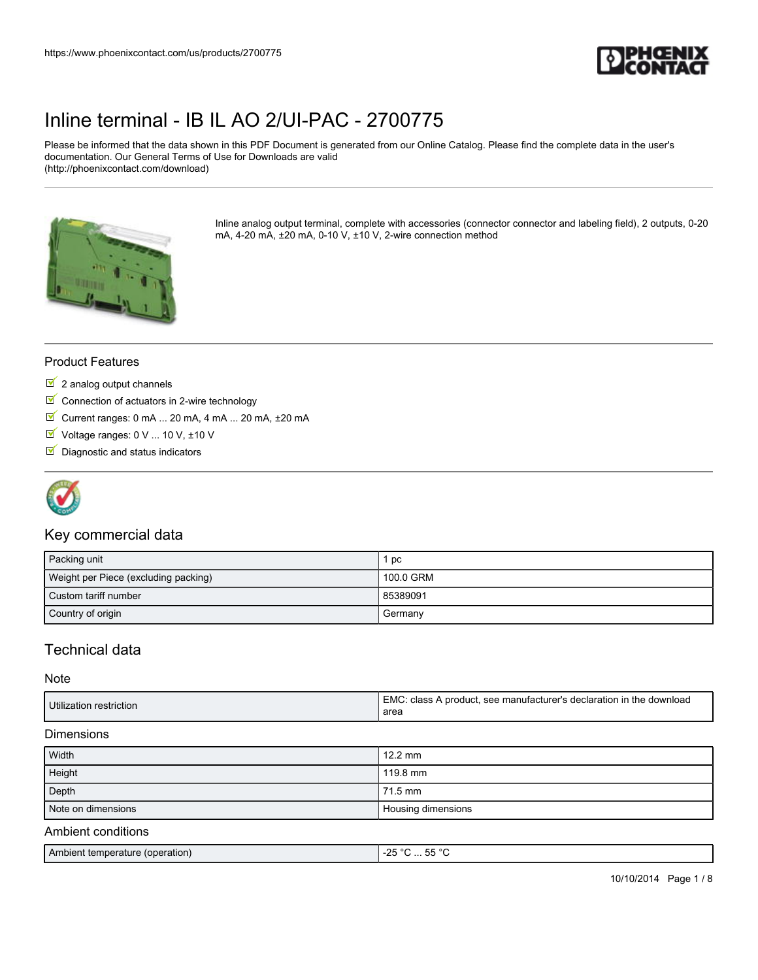

Please be informed that the data shown in this PDF Document is generated from our Online Catalog. Please find the complete data in the user's documentation. Our General Terms of Use for Downloads are valid (http://phoenixcontact.com/download)



Inline analog output terminal, complete with accessories (connector connector and labeling field), 2 outputs, 0-20 mA, 4-20 mA, ±20 mA, 0-10 V, ±10 V, 2-wire connection method

#### Product Features

- $2$  analog output channels
- $\blacksquare$  Connection of actuators in 2-wire technology
- $\blacksquare$  Current ranges: 0 mA ... 20 mA, 4 mA ... 20 mA,  $\pm$ 20 mA
- Voltage ranges: 0 V ... 10 V, ±10 V
- $\nabla$  Diagnostic and status indicators



### Key commercial data

| Packing unit                         | pc        |
|--------------------------------------|-----------|
| Weight per Piece (excluding packing) | 100.0 GRM |
| Custom tariff number                 | 85389091  |
| Country of origin                    | Germany   |

### Technical data

Note

| Utilization restriction | EMC:<br>*****; class A product, see manufacturer's declaration in the download |
|-------------------------|--------------------------------------------------------------------------------|
|                         | area                                                                           |

#### Dimensions

| Width              | $12.2 \text{ mm}$  |
|--------------------|--------------------|
| Height             | 119.8 mm           |
| Depth              | 71.5 mm            |
| Note on dimensions | Housing dimensions |
| Ambient conditions |                    |

## Ambient temperature (operation)  $\sim$  25 °C ... 55 °C

10/10/2014 Page 1 / 8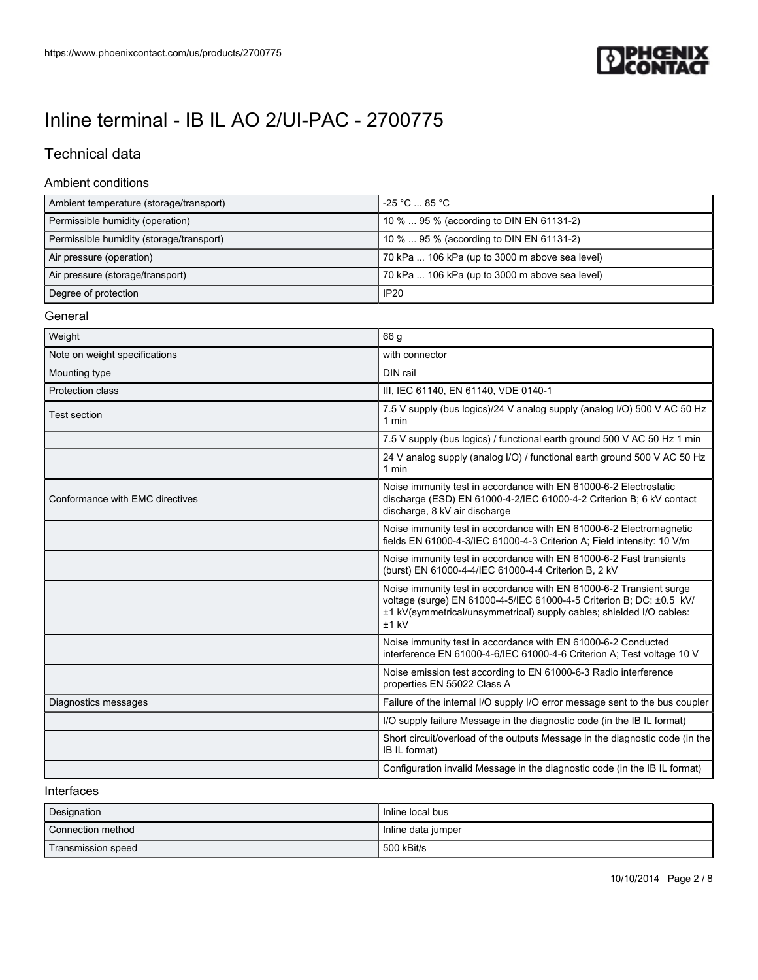

## Technical data

#### Ambient conditions

| Ambient temperature (storage/transport)  | -25 °C  85 °C                                                                                                                                                                                                                  |
|------------------------------------------|--------------------------------------------------------------------------------------------------------------------------------------------------------------------------------------------------------------------------------|
| Permissible humidity (operation)         | 10 %  95 % (according to DIN EN 61131-2)                                                                                                                                                                                       |
| Permissible humidity (storage/transport) | 10 %  95 % (according to DIN EN 61131-2)                                                                                                                                                                                       |
| Air pressure (operation)                 | 70 kPa  106 kPa (up to 3000 m above sea level)                                                                                                                                                                                 |
| Air pressure (storage/transport)         | 70 kPa  106 kPa (up to 3000 m above sea level)                                                                                                                                                                                 |
| Degree of protection                     | <b>IP20</b>                                                                                                                                                                                                                    |
| General                                  |                                                                                                                                                                                                                                |
| Weight                                   | 66 g                                                                                                                                                                                                                           |
| Note on weight specifications            | with connector                                                                                                                                                                                                                 |
| Mounting type                            | DIN rail                                                                                                                                                                                                                       |
| Protection class                         | III, IEC 61140, EN 61140, VDE 0140-1                                                                                                                                                                                           |
| <b>Test section</b>                      | 7.5 V supply (bus logics)/24 V analog supply (analog I/O) 500 V AC 50 Hz<br>1 min                                                                                                                                              |
|                                          | 7.5 V supply (bus logics) / functional earth ground 500 V AC 50 Hz 1 min                                                                                                                                                       |
|                                          | 24 V analog supply (analog I/O) / functional earth ground 500 V AC 50 Hz<br>1 min                                                                                                                                              |
| Conformance with EMC directives          | Noise immunity test in accordance with EN 61000-6-2 Electrostatic<br>discharge (ESD) EN 61000-4-2/IEC 61000-4-2 Criterion B; 6 kV contact<br>discharge, 8 kV air discharge                                                     |
|                                          | Noise immunity test in accordance with EN 61000-6-2 Electromagnetic<br>fields EN 61000-4-3/IEC 61000-4-3 Criterion A; Field intensity: 10 V/m                                                                                  |
|                                          | Noise immunity test in accordance with EN 61000-6-2 Fast transients<br>(burst) EN 61000-4-4/IEC 61000-4-4 Criterion B, 2 kV                                                                                                    |
|                                          | Noise immunity test in accordance with EN 61000-6-2 Transient surge<br>voltage (surge) EN 61000-4-5/IEC 61000-4-5 Criterion B; DC: ±0.5 kV/<br>±1 kV(symmetrical/unsymmetrical) supply cables; shielded I/O cables:<br>$±1$ kV |
|                                          | Noise immunity test in accordance with EN 61000-6-2 Conducted<br>interference EN 61000-4-6/IEC 61000-4-6 Criterion A; Test voltage 10 V                                                                                        |
|                                          | Noise emission test according to EN 61000-6-3 Radio interference<br>properties EN 55022 Class A                                                                                                                                |
| Diagnostics messages                     | Failure of the internal I/O supply I/O error message sent to the bus coupler                                                                                                                                                   |
|                                          | I/O supply failure Message in the diagnostic code (in the IB IL format)                                                                                                                                                        |
|                                          | Short circuit/overload of the outputs Message in the diagnostic code (in the<br>IB IL format)                                                                                                                                  |
|                                          | Configuration invalid Message in the diagnostic code (in the IB IL format)                                                                                                                                                     |

#### Interfaces

| Designation        | Inline local bus   |
|--------------------|--------------------|
| Connection method  | Inline data jumper |
| Transmission speed | 500 kBit/s         |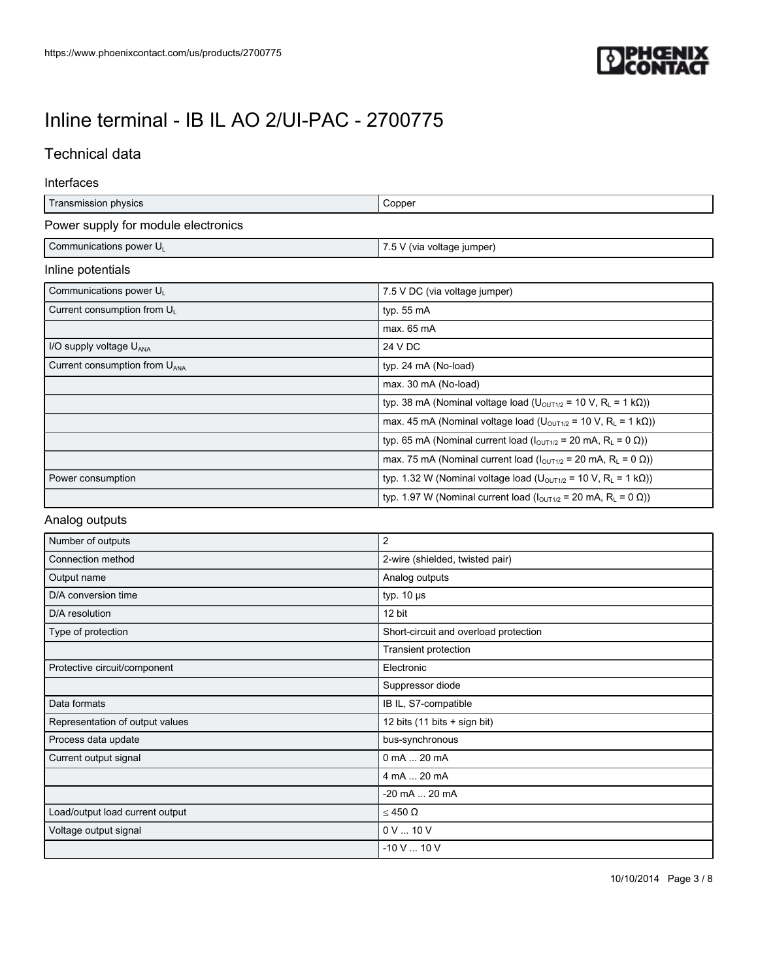

## Technical data

#### Interfaces

| Transmission physics                      | Copper                                                                                             |
|-------------------------------------------|----------------------------------------------------------------------------------------------------|
| Power supply for module electronics       |                                                                                                    |
| Communications power UL                   | 7.5 V (via voltage jumper)                                                                         |
| Inline potentials                         |                                                                                                    |
| Communications power U <sub>1</sub>       | 7.5 V DC (via voltage jumper)                                                                      |
| Current consumption from UL               | typ. $55 \text{ mA}$                                                                               |
|                                           | max. 65 mA                                                                                         |
| I/O supply voltage U <sub>ANA</sub>       | 24 V DC                                                                                            |
| Current consumption from U <sub>ANA</sub> | typ. 24 mA (No-load)                                                                               |
|                                           | max. 30 mA (No-load)                                                                               |
|                                           | typ. 38 mA (Nominal voltage load ( $U_{\text{OUT1/2}}$ = 10 V, R <sub>L</sub> = 1 kΩ))             |
|                                           | max. 45 mA (Nominal voltage load ( $U_{\text{OUT1/2}}$ = 10 V, R <sub>L</sub> = 1 k $\Omega$ ))    |
|                                           | typ. 65 mA (Nominal current load $(l_{\text{OUT1/2}} = 20 \text{ mA}, R_{L} = 0 \Omega$ ))         |
|                                           | max. 75 mA (Nominal current load $(I_{\text{OUT1/2}} = 20 \text{ mA}, R_{\text{L}} = 0 \Omega$ ))  |
| Power consumption                         | typ. 1.32 W (Nominal voltage load (U <sub>OUT1/2</sub> = 10 V, R <sub>L</sub> = 1 kΩ))             |
|                                           | typ. 1.97 W (Nominal current load $(I_{\text{OUT1/2}} = 20 \text{ mA}, R_{\text{L}} = 0 \Omega)$ ) |

#### Analog outputs

| Number of outputs               | 2                                     |
|---------------------------------|---------------------------------------|
| Connection method               | 2-wire (shielded, twisted pair)       |
| Output name                     | Analog outputs                        |
| D/A conversion time             | typ. $10 \mu s$                       |
| D/A resolution                  | 12 bit                                |
| Type of protection              | Short-circuit and overload protection |
|                                 | Transient protection                  |
| Protective circuit/component    | Electronic                            |
|                                 | Suppressor diode                      |
| Data formats                    | IB IL, S7-compatible                  |
| Representation of output values | 12 bits (11 bits + sign bit)          |
| Process data update             | bus-synchronous                       |
| Current output signal           | 0 mA  20 mA                           |
|                                 | 4 mA  20 mA                           |
|                                 | -20 mA  20 mA                         |
| Load/output load current output | $≤ 450 Ω$                             |
| Voltage output signal           | 0 V  10 V                             |
|                                 | $-10$ V $$ 10 V                       |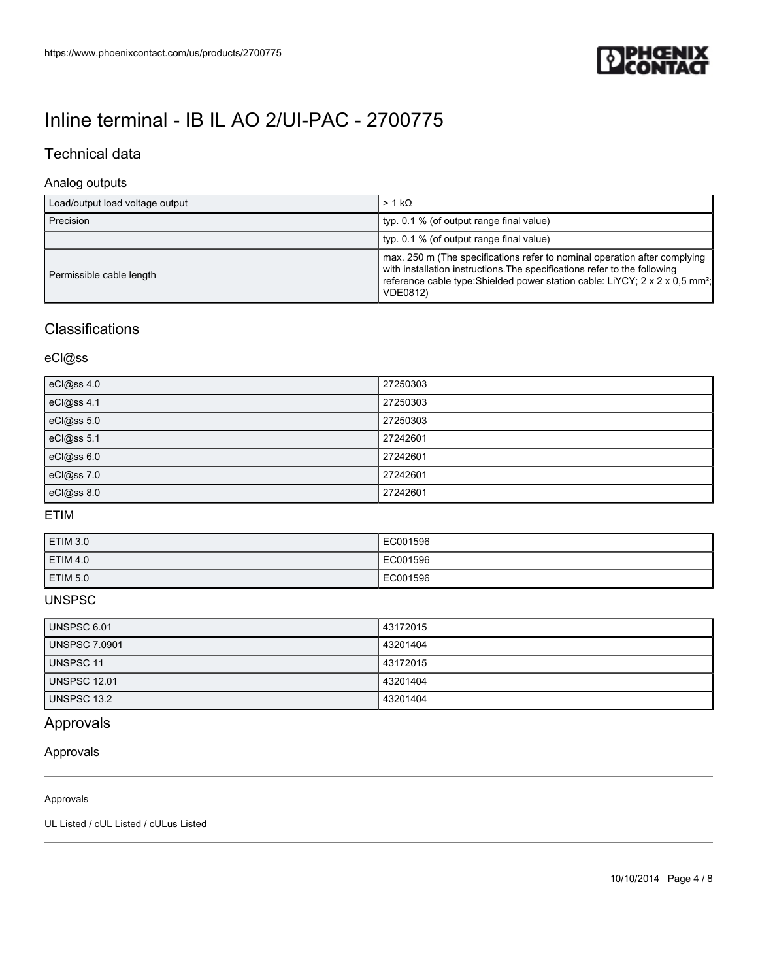

### Technical data

### Analog outputs

| Load/output load voltage output | $> 1 k\Omega$                                                                                                                                                                                                                                                         |
|---------------------------------|-----------------------------------------------------------------------------------------------------------------------------------------------------------------------------------------------------------------------------------------------------------------------|
| Precision                       | typ. 0.1 % (of output range final value)                                                                                                                                                                                                                              |
|                                 | typ. 0.1 % (of output range final value)                                                                                                                                                                                                                              |
| Permissible cable length        | max. 250 m (The specifications refer to nominal operation after complying<br>with installation instructions. The specifications refer to the following<br>reference cable type: Shielded power station cable: LiYCY; 2 x 2 x 0.5 mm <sup>2</sup> ;<br><b>VDE0812)</b> |

### **Classifications**

eCl@ss

| eCl@ss 4.0 | 27250303 |
|------------|----------|
| eCl@ss 4.1 | 27250303 |
| eCl@ss 5.0 | 27250303 |
| eCl@ss 5.1 | 27242601 |
| eCl@ss 6.0 | 27242601 |
| eCl@ss 7.0 | 27242601 |
| eCl@ss 8.0 | 27242601 |

#### ETIM

| ETIM 3.0        | EC001596 |
|-----------------|----------|
| <b>ETIM 4.0</b> | EC001596 |
| <b>ETIM 5.0</b> | EC001596 |

### UNSPSC

| <b>UNSPSC 6.01</b>   | 43172015 |
|----------------------|----------|
| <b>UNSPSC 7.0901</b> | 43201404 |
| UNSPSC 11            | 43172015 |
| <b>UNSPSC 12.01</b>  | 43201404 |
| UNSPSC 13.2          | 43201404 |

## Approvals

#### Approvals

#### Approvals

UL Listed / cUL Listed / cULus Listed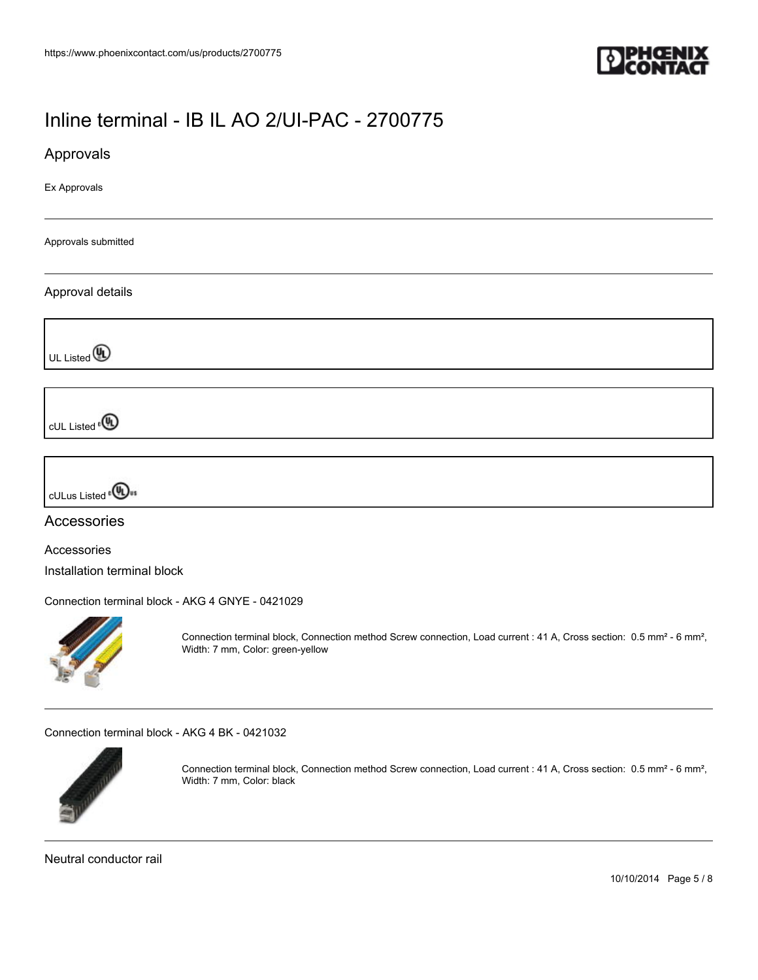

Approvals

Ex Approvals

Approvals submitted

#### Approval details

UL Listed<sup>(0)</sup>

cUL Listed<sup>e</sup>

cULus Listed<sup>e</sub><sup>(1)</sup></sup>

### Accessories

Accessories

Installation terminal block

[Connection terminal block - AKG 4 GNYE - 0421029](https://www.phoenixcontact.com/us/products/0421029)



Connection terminal block, Connection method Screw connection, Load current : 41 A, Cross section: 0.5 mm<sup>2</sup> - 6 mm<sup>2</sup>, Width: 7 mm, Color: green-yellow

[Connection terminal block - AKG 4 BK - 0421032](https://www.phoenixcontact.com/us/products/0421032)



Connection terminal block, Connection method Screw connection, Load current : 41 A, Cross section: 0.5 mm² - 6 mm², Width: 7 mm, Color: black

Neutral conductor rail

10/10/2014 Page 5 / 8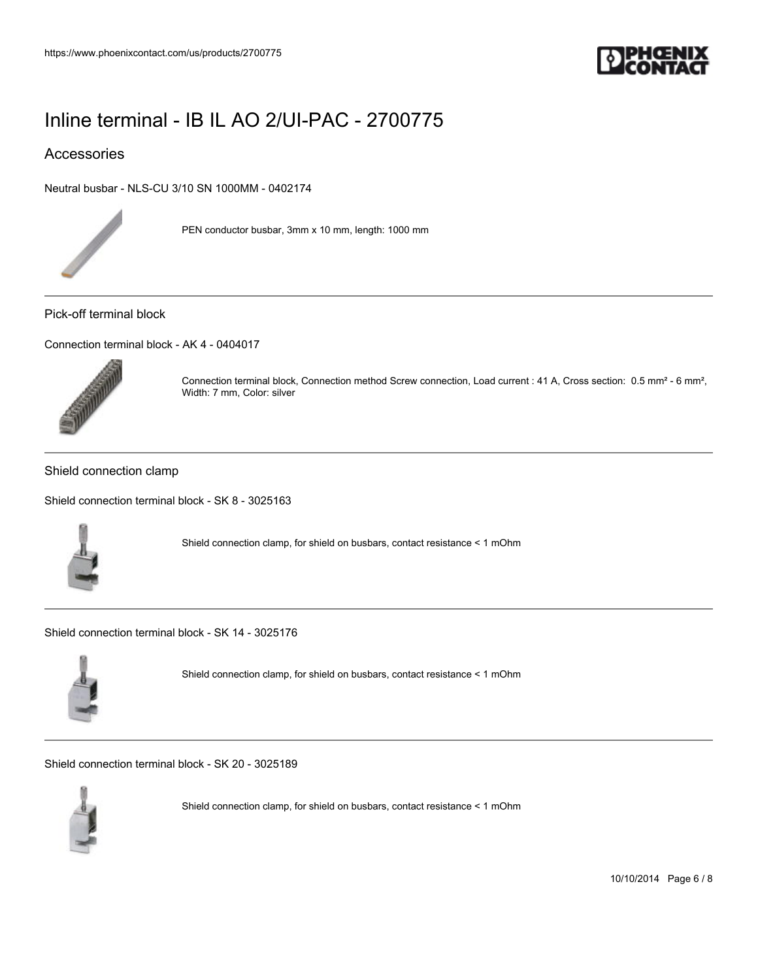

### Accessories

[Neutral busbar - NLS-CU 3/10 SN 1000MM - 0402174](https://www.phoenixcontact.com/us/products/0402174)



PEN conductor busbar, 3mm x 10 mm, length: 1000 mm

#### Pick-off terminal block

[Connection terminal block - AK 4 - 0404017](https://www.phoenixcontact.com/us/products/0404017)



Connection terminal block, Connection method Screw connection, Load current : 41 A, Cross section: 0.5 mm² - 6 mm², Width: 7 mm, Color: silver

#### Shield connection clamp

[Shield connection terminal block - SK 8 - 3025163](https://www.phoenixcontact.com/us/products/3025163)



Shield connection clamp, for shield on busbars, contact resistance < 1 mOhm

[Shield connection terminal block - SK 14 - 3025176](https://www.phoenixcontact.com/us/products/3025176)



Shield connection clamp, for shield on busbars, contact resistance < 1 mOhm

[Shield connection terminal block - SK 20 - 3025189](https://www.phoenixcontact.com/us/products/3025189)



Shield connection clamp, for shield on busbars, contact resistance < 1 mOhm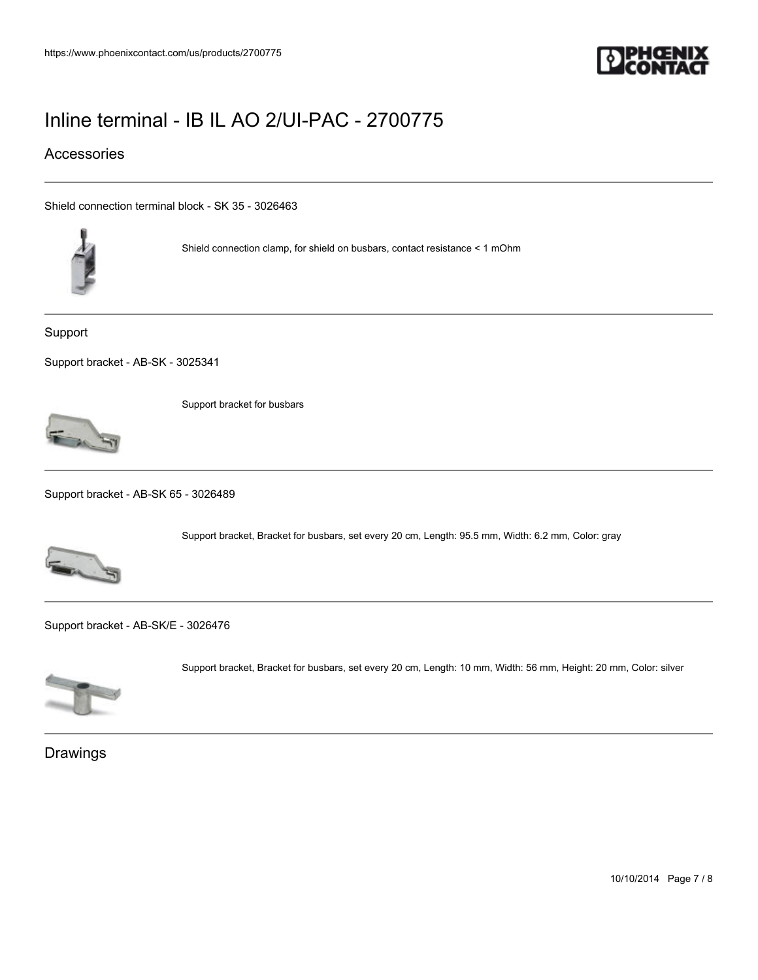

### Accessories

[Shield connection terminal block - SK 35 - 3026463](https://www.phoenixcontact.com/us/products/3026463)



Shield connection clamp, for shield on busbars, contact resistance < 1 mOhm

Support

[Support bracket - AB-SK - 3025341](https://www.phoenixcontact.com/us/products/3025341)



Support bracket for busbars

[Support bracket - AB-SK 65 - 3026489](https://www.phoenixcontact.com/us/products/3026489)



Support bracket, Bracket for busbars, set every 20 cm, Length: 95.5 mm, Width: 6.2 mm, Color: gray

[Support bracket - AB-SK/E - 3026476](https://www.phoenixcontact.com/us/products/3026476)



Support bracket, Bracket for busbars, set every 20 cm, Length: 10 mm, Width: 56 mm, Height: 20 mm, Color: silver

Drawings